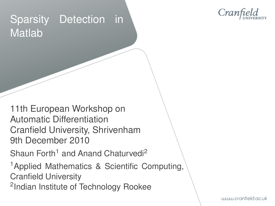# Sparsity Detection in Matlab



11th European Workshop on Automatic Differentiation Cranfield University, Shrivenham 9th December 2010

Shaun Forth<sup>1</sup> and Anand Chaturvedi<sup>2</sup>

<sup>1</sup>Applied Mathematics & Scientific Computing, Cranfield University <sup>2</sup>Indian Institute of Technology Rookee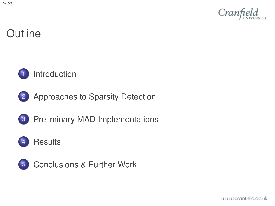

# **Outline**



#### **[Introduction](#page-2-0)**



3 [Preliminary MAD Implementations](#page-13-0)



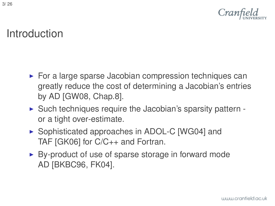

## Introduction

- $\triangleright$  For a large sparse Jacobian compression techniques can greatly reduce the cost of determining a Jacobian's entries by AD [\[GW08,](#page-24-0) Chap.8].
- $\triangleright$  Such techniques require the Jacobian's sparsity pattern or a tight over-estimate.
- ▶ Sophisticated approaches in ADOL-C [\[WG04\]](#page-25-0) and TAF [\[GK06\]](#page-24-1) for C/C++ and Fortran.
- <span id="page-2-0"></span> $\triangleright$  By-product of use of sparse storage in forward mode AD [\[BKBC96,](#page-23-0) [FK04\]](#page-23-1).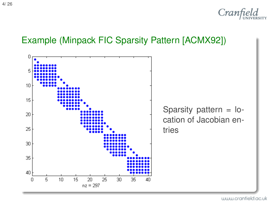

#### Example (Minpack FIC Sparsity Pattern [\[ACMX92\]](#page-23-2))



www.cranfield.ac.uk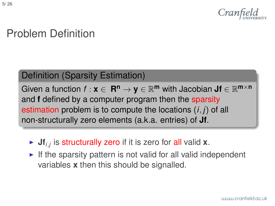

# Problem Definition

#### Definition (Sparsity Estimation)

Given a function  $f: \mathbf{x} \in \mathbf{R^n} \to \mathbf{y} \in \mathbb{R}^{\mathbf{m}}$  with Jacobian  $\mathbf{Jf} \in \mathbb{R}^{\mathbf{m} \times \mathbf{n}}$ and **f** defined by a computer program then the sparsity estimation problem is to compute the locations (*i*, *j*) of all non-structurally zero elements (a.k.a. entries) of **Jf**.

- $\triangleright$  Jf<sub>*i,j*</sub> is structurally zero if it is zero for all valid **x**.
- $\blacktriangleright$  If the sparsity pattern is not valid for all valid independent variables **x** then this should be signalled.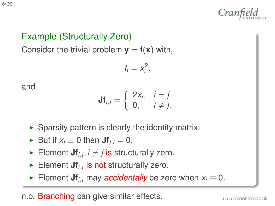

#### Example (Structurally Zero)

Consider the trivial problem  $y = f(x)$  with,

$$
f_i=x_i^2,
$$

and

$$
\mathsf{Jf}_{i,j} = \left\{ \begin{array}{ll} 2x_i, & i = j, \\ 0, & i \neq j. \end{array} \right.
$$

- $\triangleright$  Sparsity pattern is clearly the identity matrix.
- ► But if  $x_i \equiv 0$  then  $Jf_i = 0$ .
- Element  $Jf_{i,j}$ ,  $i \neq j$  is structurally zero.
- Element  $Jf_{i,i}$  is not structurally zero.
- ► Element **Jf**<sub>*i*</sub>, may *accidentally* be zero when  $x_i \equiv 0$ .

n.b. Branching can give similar effects.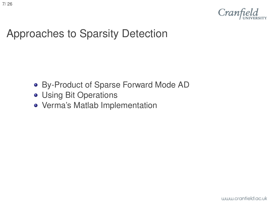

### Approaches to Sparsity Detection

- [By-Product of Sparse Forward Mode AD](#page-7-0)
- [Using Bit Operations](#page-8-0)
- <span id="page-6-0"></span>[Verma's Matlab Implementation](#page-11-0)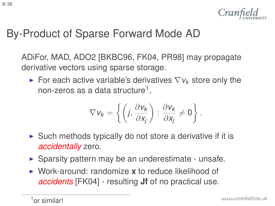# By-Product of Sparse Forward Mode AD

ADiFor, MAD, ADO2 [\[BKBC96,](#page-23-0) [FK04,](#page-23-1) [PR98\]](#page-25-1) may propagate derivative vectors using sparse storage.

For each active variable's derivatives  $\nabla v_k$  store only the non-zeros as a data structure<sup>1</sup>,

$$
\nabla v_k = \left\{ \left( j, \frac{\partial v_k}{\partial x_j} \right) : \frac{\partial v_k}{\partial x_j} \neq 0 \right\}.
$$

- $\triangleright$  Such methods typically do not store a derivative if it is *accidentally* zero.
- $\triangleright$  Sparsity pattern may be an underestimate unsafe.
- <span id="page-7-0"></span>▶ Work-around: randomize **x** to reduce likelihood of *accidents* [\[FK04\]](#page-23-1) - resulting **Jf** of no practical use.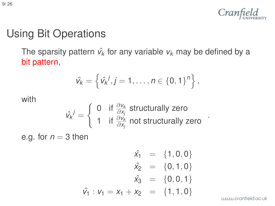

# Using Bit Operations

The sparsity pattern  $\hat{v}_k$  for any variable  $v_k$  may be defined by a bit pattern,

$$
\hat{v_k} = \left\{ \hat{v_k}^j, j = 1, \ldots, n \in \{0, 1\}^n \right\},\
$$

with

$$
\hat{v_k}^j = \left\{ \begin{array}{ll} 0 & \text{if $\frac{\partial v_k}{\partial x_j}$ structurally zero} \\ 1 & \text{if $\frac{\partial v_k}{\partial x_j}$ not structurally zero} \end{array} \right. .
$$

<span id="page-8-0"></span>e.g. for  $n = 3$  then

$$
\hat{x}_1 = \{1, 0, 0\} \n\hat{x}_2 = \{0, 1, 0\} \n\hat{x}_3 = \{0, 0, 1\} \n\hat{v}_1 : v_1 = x_1 + x_2 = \{1, 1, 0\}
$$

www.cranfield.ac.uk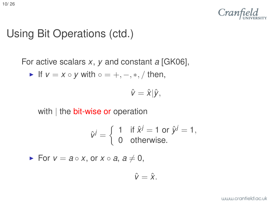

### Using Bit Operations (ctd.)

For active scalars *x*, *y* and constant *a* [\[GK06\]](#page-24-1),

• If 
$$
v = x \circ y
$$
 with  $\circ = +, -, *, /$  then,

 $\hat{v} = \hat{x}|\hat{y},$ 

with | the **bit-wise or** operation

$$
\hat{v}^j = \begin{cases} 1 & \text{if } \hat{x}^j = 1 \text{ or } \hat{y}^j = 1, \\ 0 & \text{otherwise.} \end{cases}
$$

**►** For  $v = a \circ x$ , or  $x \circ a$ ,  $a \neq 0$ ,

$$
\hat{v}=\hat{x}.
$$

www.cranfield.ac.uk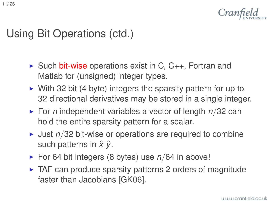

### Using Bit Operations (ctd.)

- $\triangleright$  Such bit-wise operations exist in C, C<sub>++</sub>, Fortran and Matlab for (unsigned) integer types.
- $\triangleright$  With 32 bit (4 byte) integers the sparsity pattern for up to 32 directional derivatives may be stored in a single integer.
- $\triangleright$  For *n* independent variables a vector of length  $n/32$  can hold the entire sparsity pattern for a scalar.
- $\blacktriangleright$  Just  $n/32$  bit-wise or operations are required to combine such patterns in  $\hat{x}|\hat{v}$ .
- ► For 64 bit integers (8 bytes) use *n*/64 in above!
- $\triangleright$  TAF can produce sparsity patterns 2 orders of magnitude faster than Jacobians [\[GK06\]](#page-24-1).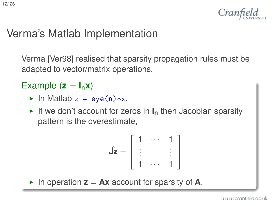## Verma's Matlab Implementation

Verma [\[Ver98\]](#page-25-2) realised that sparsity propagation rules must be adapted to vector/matrix operations.

#### Example  $(z = I_n x)$

- In Matlab  $z = eye(n)*x$ .
- If we don't account for zeros in  $I_n$  then Jacobian sparsity pattern is the overestimate,

$$
\hat{\mathbf{J}}\mathbf{z} = \begin{bmatrix} 1 & \cdots & 1 \\ \vdots & & \vdots \\ 1 & \cdots & 1 \end{bmatrix}
$$

<span id="page-11-0"></span>In operation  $z = Ax$  account for sparsity of A.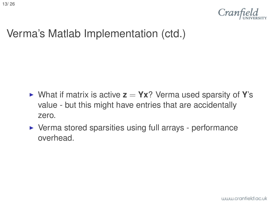

# Verma's Matlab Implementation (ctd.)

- $\triangleright$  What if matrix is active  $z = Yx$ ? Verma used sparsity of Y's value - but this might have entries that are accidentally zero.
- $\triangleright$  Verma stored sparsities using full arrays performance overhead.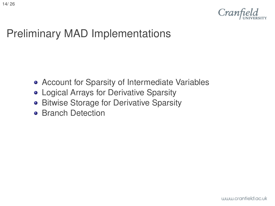

## Preliminary MAD Implementations

- [Account for Sparsity of Intermediate Variables](#page-14-0)
- [Logical Arrays for Derivative Sparsity](#page-15-0)
- **[Bitwise Storage for Derivative Sparsity](#page-16-0)**
- <span id="page-13-0"></span>**• [Branch Detection](#page-17-0)**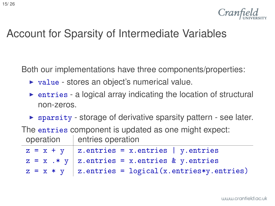

## Account for Sparsity of Intermediate Variables

Both our implementations have three components/properties:

- $\triangleright$  value stores an object's numerical value.
- $\triangleright$  entries a logical array indicating the location of structural non-zeros.
- $\triangleright$  sparsity storage of derivative sparsity pattern see later.

The entries component is updated as one might expect: operation | entries operation

<span id="page-14-0"></span>

| $z = x + y$   z.entries = x.entries   y.entries        |
|--------------------------------------------------------|
| $z = x$ .* y   z.entries = x.entries & y.entries       |
| $z = x * y$   z.entries = logical(x.entries*y.entries) |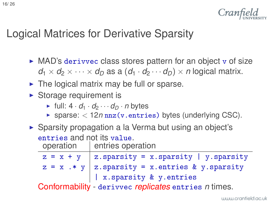

### Logical Matrices for Derivative Sparsity

- $\triangleright$  MAD's derivvec class stores pattern for an object v of size  $d_1 \times d_2 \times \cdots \times d_D$  as a  $(d_1 \cdot d_2 \cdots d_D) \times n$  logical matrix.
- $\triangleright$  The logical matrix may be full or sparse.
- $\triangleright$  Storage requirement is
	- $\blacktriangleright$  full:  $4 \cdot d_1 \cdot d_2 \cdots d_n \cdot n$  bytes
	- $\triangleright$  sparse:  $\lt$  12*n* nnz(v.entries) bytes (underlying CSC).
- ▶ Sparsity propagation a la Verma but using an object's entries and not its value.

operation | entries operation

| $z = x + y$   z.sparsity = x.sparsity   y.sparsity                                                                                                                                                                                 |
|------------------------------------------------------------------------------------------------------------------------------------------------------------------------------------------------------------------------------------|
| $z = x$ .* y   z.sparsity = x.entries & y.sparsity                                                                                                                                                                                 |
| x.sparsity & y.entries                                                                                                                                                                                                             |
| $\bullet$ and the set of the set of the set of the set of the set of the set of the set of the set of the set of the set of the set of the set of the set of the set of the set of the set of the set of the set of the set of the |

<span id="page-15-0"></span>Conformability - derivvec *replicates* entries *n* times.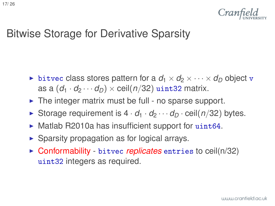

#### Bitwise Storage for Derivative Sparsity

- **If** bitvec class stores pattern for a  $d_1 \times d_2 \times \cdots \times d_n$  object v as a  $(d_1 \cdot d_2 \cdots d_n) \times$  ceil( $n/32$ ) uint32 matrix.
- $\triangleright$  The integer matrix must be full no sparse support.
- Storage requirement is  $4 \cdot d_1 \cdot d_2 \cdots d_n \cdot$  ceil( $n/32$ ) bytes.
- $\blacktriangleright$  Matlab R2010a has insufficient support for uint 64.
- $\triangleright$  Sparsity propagation as for logical arrays.
- <span id="page-16-0"></span>► Conformability - bitvec *replicates* entries to ceil(n/32) uint32 integers as required.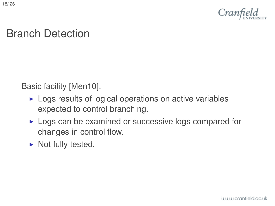

## Branch Detection

Basic facility [\[Men10\]](#page-24-2).

- $\blacktriangleright$  Logs results of logical operations on active variables expected to control branching.
- $\triangleright$  Logs can be examined or successive logs compared for changes in control flow.
- <span id="page-17-0"></span> $\blacktriangleright$  Not fully tested.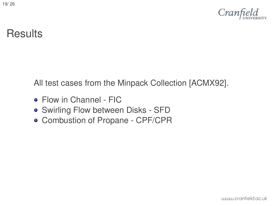

### **Results**

All test cases from the Minpack Collection [\[ACMX92\]](#page-23-2).

- [Flow in Channel FIC](#page-19-0)
- [Swirling Flow between Disks SFD](#page-20-0)
- <span id="page-18-0"></span>[Combustion of Propane - CPF/CPR](#page-21-0)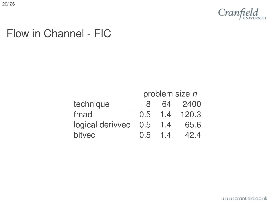

## Flow in Channel - FIC

<span id="page-19-0"></span>

|                  | problem size n |     |           |
|------------------|----------------|-----|-----------|
| technique        |                | 64  | 2400      |
| fmad             | 0.5            |     | 1.4 120.3 |
| logical derivvec | 0.5            | 1.4 | 65.6      |
| bitvec           | 0.5            | 14  |           |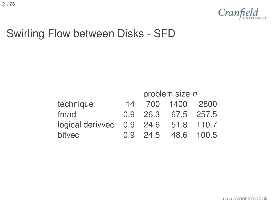

### Swirling Flow between Disks - SFD

<span id="page-20-0"></span>

|                                                               | problem size n |          |                     |            |
|---------------------------------------------------------------|----------------|----------|---------------------|------------|
| technique                                                     | 14             |          | 700 1400            | 2800       |
| fmad                                                          |                |          | 0.9 26.3 67.5 257.5 |            |
| logical derived $\vert 0.9 \vert 24.6 \vert 51.8 \vert 110.7$ |                |          |                     |            |
| bitvec                                                        |                | 0.9 24.5 |                     | 48.6 100.5 |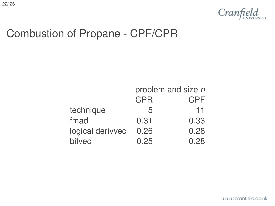

## Combustion of Propane - CPF/CPR

<span id="page-21-0"></span>

|                  | problem and size n |      |
|------------------|--------------------|------|
|                  | <b>CPR</b>         | CPF  |
| technique        |                    | 11   |
| fmad             | 0.31               | 0.33 |
| logical derivvec | 0.26               | 0.28 |
| bitvec           | 0.25               | በ 28 |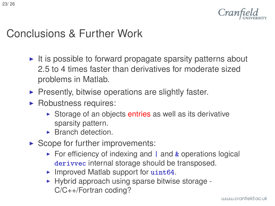

### Conclusions & Further Work

- It is possible to forward propagate sparsity patterns about 2.5 to 4 times faster than derivatives for moderate sized problems in Matlab.
- $\blacktriangleright$  Presently, bitwise operations are slightly faster.
- $\blacktriangleright$  Robustness requires:
	- $\triangleright$  Storage of an objects entries as well as its derivative sparsity pattern.
	- $\blacktriangleright$  Branch detection.
- <span id="page-22-0"></span> $\triangleright$  Scope for further improvements:
	- $\triangleright$  For efficiency of indexing and | and & operations logical derivvec internal storage should be transposed.
	- $\blacktriangleright$  Improved Matlab support for uint64.
	- $\blacktriangleright$  Hybrid approach using sparse bitwise storage -C/C++/Fortran coding?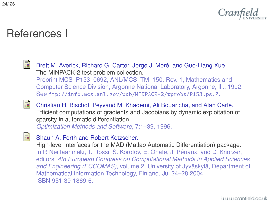

### References I

<span id="page-23-2"></span>H

Brett M. Averick, Richard G. Carter, Jorge J. Moré, and Guo-Liang Xue. The MINPACK-2 test problem collection. Preprint MCS–P153–0692, ANL/MCS–TM–150, Rev. 1, Mathematics and Computer Science Division, Argonne National Laboratory, Argonne, Ill., 1992. See ftp://info.mcs.anl.gov/pub/MINPACK-2/tprobs/P153.ps.Z.

<span id="page-23-0"></span>

<span id="page-23-1"></span>歸

Christian H. Bischof, Peyvand M. Khademi, Ali Bouaricha, and Alan Carle. Efficient computations of gradients and Jacobians by dynamic exploitation of sparsity in automatic differentiation.

*Optimization Methods and Software*, 7:1–39, 1996.

Shaun A. Forth and Robert Ketzscher.

High-level interfaces for the MAD (Matlab Automatic Differentiation) package. In P. Neittaanmäki, T. Rossi, S. Korotov, E. Oñate, J. Périaux, and D. Knörzer, editors, *4th European Congress on Computational Methods in Applied Sciences and Engineering (ECCOMAS)*, volume 2. University of Jyväskylä, Department of Mathematical Information Technology, Finland, Jul 24–28 2004. ISBN 951-39-1869-6.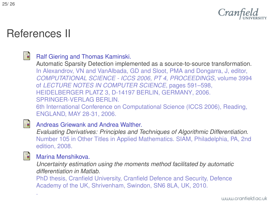

### References II

#### <span id="page-24-1"></span>量

#### Ralf Giering and Thomas Kaminski.

Automatic Sparsity Detection implemented as a source-to-source transformation. In Alexandrov, VN and VanAlbada, GD and Sloot, PMA and Dongarra, J, editor, *COMPUTATIONAL SCIENCE - ICCS 2006, PT 4, PROCEEDINGS*, volume 3994 of *LECTURE NOTES IN COMPUTER SCIENCE*, pages 591–598, HEIDELBERGER PLATZ 3, D-14197 BERLIN, GERMANY, 2006. SPRINGER-VERLAG BERLIN.

6th International Conference on Computational Science (ICCS 2006), Reading, ENGLAND, MAY 28-31, 2006.

#### <span id="page-24-0"></span>F

#### Andreas Griewank and Andrea Walther.

*Evaluating Derivatives: Principles and Techniques of Algorithmic Differentiation*. Number 105 in Other Titles in Applied Mathematics. SIAM, Philadelphia, PA, 2nd edition, 2008.

<span id="page-24-2"></span>

[.](http://hdl.handle.net/1826/4328)

#### Marina Menshikova.

*Uncertainty estimation using the moments method facilitated by automatic differentiation in Matlab*.

PhD thesis, Cranfield University, Cranfield Defence and Security, Defence Academy of the UK, Shrivenham, Swindon, SN6 8LA, UK, 2010.